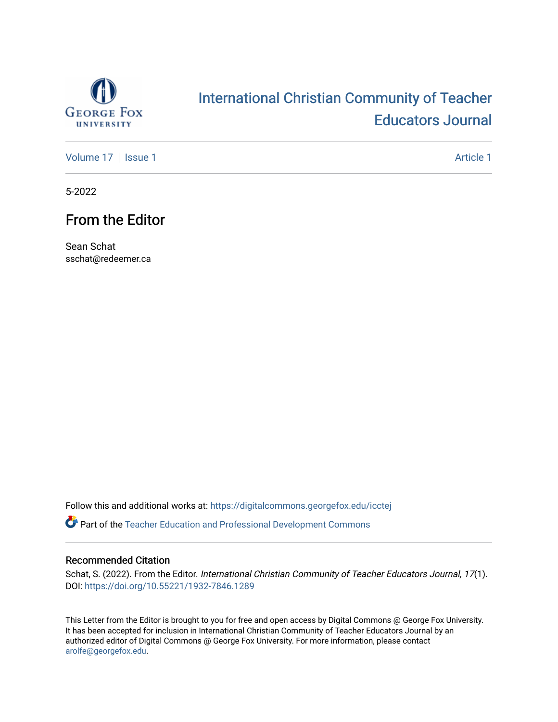

# [International Christian Community of Teacher](https://digitalcommons.georgefox.edu/icctej)  [Educators Journal](https://digitalcommons.georgefox.edu/icctej)

[Volume 17](https://digitalcommons.georgefox.edu/icctej/vol17) | [Issue 1](https://digitalcommons.georgefox.edu/icctej/vol17/iss1) Article 1

5-2022

# From the Editor

Sean Schat sschat@redeemer.ca

Follow this and additional works at: [https://digitalcommons.georgefox.edu/icctej](https://digitalcommons.georgefox.edu/icctej?utm_source=digitalcommons.georgefox.edu%2Ficctej%2Fvol17%2Fiss1%2F1&utm_medium=PDF&utm_campaign=PDFCoverPages) 

**P** Part of the Teacher Education and Professional Development Commons

### Recommended Citation

Schat, S. (2022). From the Editor. International Christian Community of Teacher Educators Journal, 17(1). DOI:<https://doi.org/10.55221/1932-7846.1289>

This Letter from the Editor is brought to you for free and open access by Digital Commons @ George Fox University. It has been accepted for inclusion in International Christian Community of Teacher Educators Journal by an authorized editor of Digital Commons @ George Fox University. For more information, please contact [arolfe@georgefox.edu.](mailto:arolfe@georgefox.edu)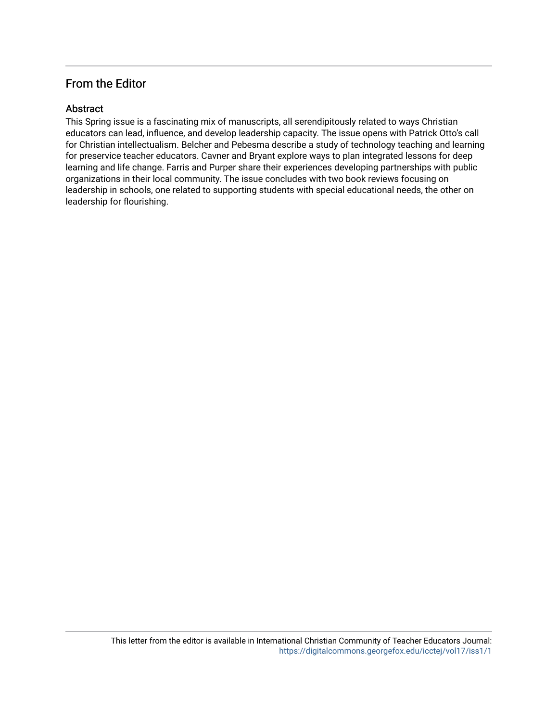# From the Editor

# Abstract

This Spring issue is a fascinating mix of manuscripts, all serendipitously related to ways Christian educators can lead, influence, and develop leadership capacity. The issue opens with Patrick Otto's call for Christian intellectualism. Belcher and Pebesma describe a study of technology teaching and learning for preservice teacher educators. Cavner and Bryant explore ways to plan integrated lessons for deep learning and life change. Farris and Purper share their experiences developing partnerships with public organizations in their local community. The issue concludes with two book reviews focusing on leadership in schools, one related to supporting students with special educational needs, the other on leadership for flourishing.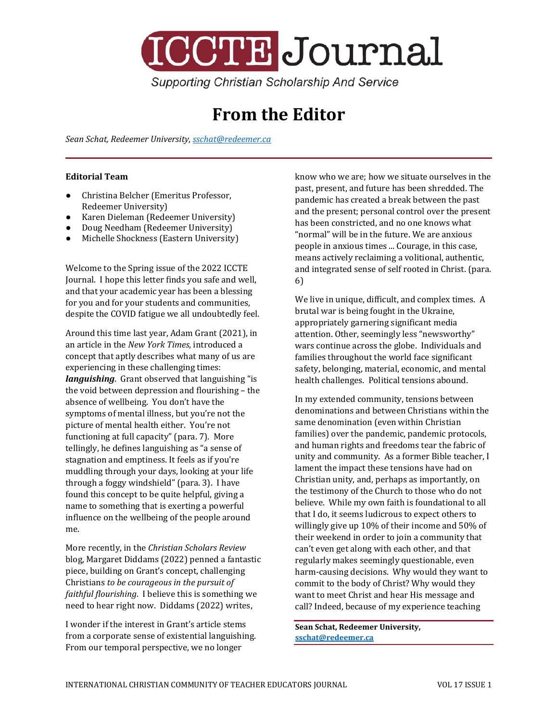

**From the Editor**

*Sean Schat, Redeemer University[, sschat@redeemer.ca](mailto:sschat@redeemer.ca)*

### **Editorial Team**

- Christina Belcher (Emeritus Professor, Redeemer University)
- Karen Dieleman (Redeemer University)
- Doug Needham (Redeemer University)
- Michelle Shockness (Eastern University)

Welcome to the Spring issue of the 2022 ICCTE Journal. I hope this letter finds you safe and well, and that your academic year has been a blessing for you and for your students and communities, despite the COVID fatigue we all undoubtedly feel.

Around this time last year, Adam Grant (2021), in an article in the *New York Times*, introduced a concept that aptly describes what many of us are experiencing in these challenging times: *languishing*. Grant observed that languishing "is the void between depression and flourishing – the absence of wellbeing. You don't have the symptoms of mental illness, but you're not the picture of mental health either. You're not functioning at full capacity" (para. 7). More tellingly, he defines languishing as "a sense of stagnation and emptiness. It feels as if you're muddling through your days, looking at your life through a foggy windshield" (para. 3). I have found this concept to be quite helpful, giving a name to something that is exerting a powerful influence on the wellbeing of the people around me.

More recently, in the *Christian Scholars Review* blog, Margaret Diddams (2022) penned a fantastic piece, building on Grant's concept, challenging Christians *to be courageous in the pursuit of faithful flourishing*. I believe this is something we need to hear right now. Diddams (2022) writes,

I wonder if the interest in Grant's article stems from a corporate sense of existential languishing. From our temporal perspective, we no longer

know who we are; how we situate ourselves in the past, present, and future has been shredded. The pandemic has created a break between the past and the present; personal control over the present has been constricted, and no one knows what "normal" will be in the future. We are anxious people in anxious times ... Courage, in this case, means actively reclaiming a volitional, authentic, and integrated sense of self rooted in Christ. (para. 6)

We live in unique, difficult, and complex times. A brutal war is being fought in the Ukraine, appropriately garnering significant media attention. Other, seemingly less "newsworthy" wars continue across the globe. Individuals and families throughout the world face significant safety, belonging, material, economic, and mental health challenges. Political tensions abound.

In my extended community, tensions between denominations and between Christians within the same denomination (even within Christian families) over the pandemic, pandemic protocols, and human rights and freedoms tear the fabric of unity and community. As a former Bible teacher, I lament the impact these tensions have had on Christian unity, and, perhaps as importantly, on the testimony of the Church to those who do not believe. While my own faith is foundational to all that I do, it seems ludicrous to expect others to willingly give up 10% of their income and 50% of their weekend in order to join a community that can't even get along with each other, and that regularly makes seemingly questionable, even harm-causing decisions. Why would they want to commit to the body of Christ? Why would they want to meet Christ and hear His message and call? Indeed, because of my experience teaching

**Sean Schat, Redeemer University, [sschat@redeemer.ca](mailto:sschat@redeemer.ca)**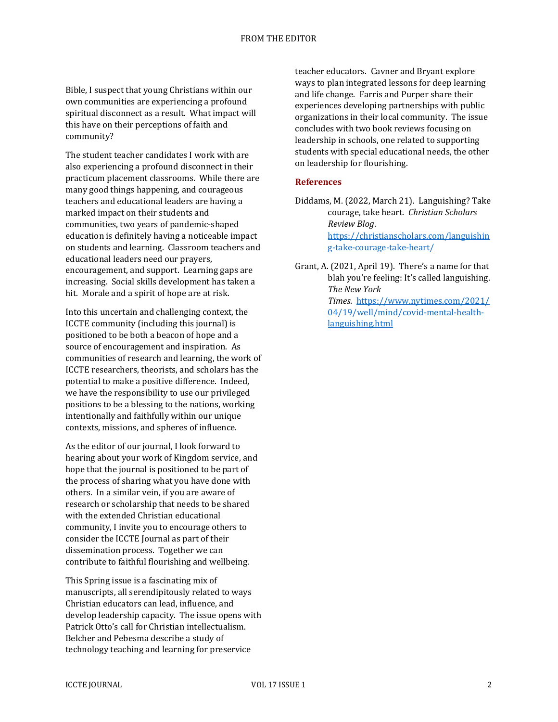Bible, I suspect that young Christians within our own communities are experiencing a profound spiritual disconnect as a result. What impact will this have on their perceptions of faith and community?

The student teacher candidates I work with are also experiencing a profound disconnect in their practicum placement classrooms. While there are many good things happening, and courageous teachers and educational leaders are having a marked impact on their students and communities, two years of pandemic-shaped education is definitely having a noticeable impact on students and learning. Classroom teachers and educational leaders need our prayers, encouragement, and support. Learning gaps are increasing. Social skills development has taken a hit. Morale and a spirit of hope are at risk.

Into this uncertain and challenging context, the ICCTE community (including this journal) is positioned to be both a beacon of hope and a source of encouragement and inspiration. As communities of research and learning, the work of ICCTE researchers, theorists, and scholars has the potential to make a positive difference. Indeed, we have the responsibility to use our privileged positions to be a blessing to the nations, working intentionally and faithfully within our unique contexts, missions, and spheres of influence.

As the editor of our journal, I look forward to hearing about your work of Kingdom service, and hope that the journal is positioned to be part of the process of sharing what you have done with others. In a similar vein, if you are aware of research or scholarship that needs to be shared with the extended Christian educational community, I invite you to encourage others to consider the ICCTE Journal as part of their dissemination process. Together we can contribute to faithful flourishing and wellbeing.

This Spring issue is a fascinating mix of manuscripts, all serendipitously related to ways Christian educators can lead, influence, and develop leadership capacity. The issue opens with Patrick Otto's call for Christian intellectualism. Belcher and Pebesma describe a study of technology teaching and learning for preservice

teacher educators. Cavner and Bryant explore ways to plan integrated lessons for deep learning and life change. Farris and Purper share their experiences developing partnerships with public organizations in their local community. The issue concludes with two book reviews focusing on leadership in schools, one related to supporting students with special educational needs, the other on leadership for flourishing.

### **References**

Diddams, M. (2022, March 21). Languishing? Take courage, take heart. *Christian Scholars Review Blog*. [https://christianscholars.com/languishin](https://christianscholars.com/languishing-take-courage-take-heart/) [g-take-courage-take-heart/](https://christianscholars.com/languishing-take-courage-take-heart/)

Grant, A. (2021, April 19). There's a name for that blah you're feeling: It's called languishing. *The New York Times*. [https://www.nytimes.com/2021/](https://www.nytimes.com/2021/04/19/well/mind/covid-mental-health-languishing.html) [04/19/well/mind/covid-mental-health](https://www.nytimes.com/2021/04/19/well/mind/covid-mental-health-languishing.html)[languishing.html](https://www.nytimes.com/2021/04/19/well/mind/covid-mental-health-languishing.html)